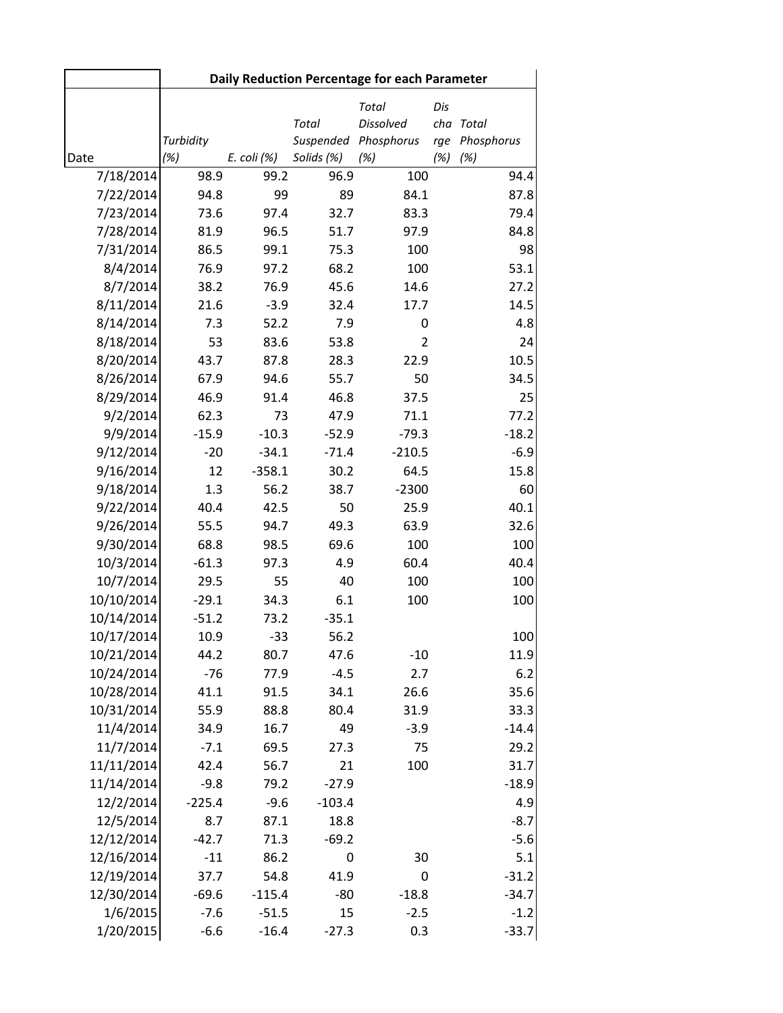|                        | Daily Reduction Percentage for each Parameter |             |                           |                                         |                   |                     |  |
|------------------------|-----------------------------------------------|-------------|---------------------------|-----------------------------------------|-------------------|---------------------|--|
|                        | Turbidity                                     |             | <b>Total</b><br>Suspended | Total<br><b>Dissolved</b><br>Phosphorus | Dis<br>cha<br>rge | Total<br>Phosphorus |  |
| Date                   | (%)                                           | E. coli (%) | Solids (%)                | (%)                                     | (%)               | (%)                 |  |
| 7/18/2014              | 98.9                                          | 99.2        | 96.9                      | 100                                     |                   | 94.4                |  |
| 7/22/2014<br>7/23/2014 | 94.8<br>73.6                                  | 99<br>97.4  | 89<br>32.7                | 84.1<br>83.3                            |                   | 87.8<br>79.4        |  |
| 7/28/2014              | 81.9                                          | 96.5        | 51.7                      | 97.9                                    |                   | 84.8                |  |
| 7/31/2014              | 86.5                                          | 99.1        | 75.3                      | 100                                     |                   | 98                  |  |
| 8/4/2014               | 76.9                                          | 97.2        | 68.2                      | 100                                     |                   | 53.1                |  |
| 8/7/2014               | 38.2                                          | 76.9        | 45.6                      | 14.6                                    |                   | 27.2                |  |
| 8/11/2014              | 21.6                                          | $-3.9$      | 32.4                      | 17.7                                    |                   | 14.5                |  |
| 8/14/2014              | 7.3                                           | 52.2        | 7.9                       | 0                                       |                   | 4.8                 |  |
| 8/18/2014              | 53                                            | 83.6        | 53.8                      | $\overline{2}$                          |                   | 24                  |  |
| 8/20/2014              | 43.7                                          | 87.8        | 28.3                      | 22.9                                    |                   | 10.5                |  |
| 8/26/2014              | 67.9                                          | 94.6        | 55.7                      | 50                                      |                   | 34.5                |  |
| 8/29/2014              | 46.9                                          | 91.4        | 46.8                      | 37.5                                    |                   | 25                  |  |
| 9/2/2014               | 62.3                                          | 73          | 47.9                      | 71.1                                    |                   | 77.2                |  |
| 9/9/2014               | $-15.9$                                       | $-10.3$     | $-52.9$                   | $-79.3$                                 |                   | $-18.2$             |  |
| 9/12/2014              | $-20$                                         | $-34.1$     | $-71.4$                   | $-210.5$                                |                   | $-6.9$              |  |
| 9/16/2014              | 12                                            | $-358.1$    | 30.2                      | 64.5                                    |                   | 15.8                |  |
| 9/18/2014              | 1.3                                           | 56.2        | 38.7                      | $-2300$                                 |                   | 60                  |  |
| 9/22/2014              | 40.4                                          | 42.5        | 50                        | 25.9                                    |                   | 40.1                |  |
| 9/26/2014              | 55.5                                          | 94.7        | 49.3                      | 63.9                                    |                   | 32.6                |  |
| 9/30/2014              | 68.8                                          | 98.5        | 69.6                      | 100                                     |                   | 100                 |  |
| 10/3/2014              | $-61.3$                                       | 97.3        | 4.9                       | 60.4                                    |                   | 40.4                |  |
| 10/7/2014              | 29.5                                          | 55          | 40                        | 100                                     |                   | 100                 |  |
| 10/10/2014             | $-29.1$                                       | 34.3        | 6.1                       | 100                                     |                   | 100                 |  |
| 10/14/2014             | $-51.2$                                       | 73.2        | $-35.1$                   |                                         |                   |                     |  |
| 10/17/2014             | 10.9                                          | $-33$       | 56.2                      |                                         |                   | 100                 |  |
| 10/21/2014             | 44.2                                          | 80.7        | 47.6                      | $-10$                                   |                   | 11.9                |  |
| 10/24/2014             | $-76$                                         | 77.9        | $-4.5$                    | 2.7                                     |                   | 6.2                 |  |
| 10/28/2014             | 41.1                                          | 91.5        | 34.1                      | 26.6                                    |                   | 35.6                |  |
| 10/31/2014             | 55.9                                          | 88.8        | 80.4                      | 31.9                                    |                   | 33.3                |  |
| 11/4/2014              | 34.9                                          | 16.7        | 49                        | $-3.9$                                  |                   | $-14.4$             |  |
| 11/7/2014              | $-7.1$                                        | 69.5        | 27.3                      | 75                                      |                   | 29.2                |  |
| 11/11/2014             | 42.4                                          | 56.7        | 21                        | 100                                     |                   | 31.7                |  |
| 11/14/2014             | $-9.8$                                        | 79.2        | $-27.9$                   |                                         |                   | $-18.9$             |  |
| 12/2/2014              | $-225.4$                                      | $-9.6$      | $-103.4$                  |                                         |                   | 4.9                 |  |
| 12/5/2014              | 8.7                                           | 87.1        | 18.8                      |                                         |                   | $-8.7$              |  |
| 12/12/2014             | $-42.7$                                       | 71.3        | $-69.2$                   |                                         |                   | $-5.6$              |  |
| 12/16/2014             | $-11$                                         | 86.2        | 0                         | 30                                      |                   | 5.1                 |  |
| 12/19/2014             | 37.7                                          | 54.8        | 41.9                      | 0                                       |                   | $-31.2$             |  |
| 12/30/2014             | $-69.6$                                       | $-115.4$    | $-80$                     | $-18.8$                                 |                   | $-34.7$             |  |
| 1/6/2015               | $-7.6$                                        | $-51.5$     | 15                        | $-2.5$                                  |                   | $-1.2$              |  |
| 1/20/2015              | $-6.6$                                        | $-16.4$     | $-27.3$                   | 0.3                                     |                   | $-33.7$             |  |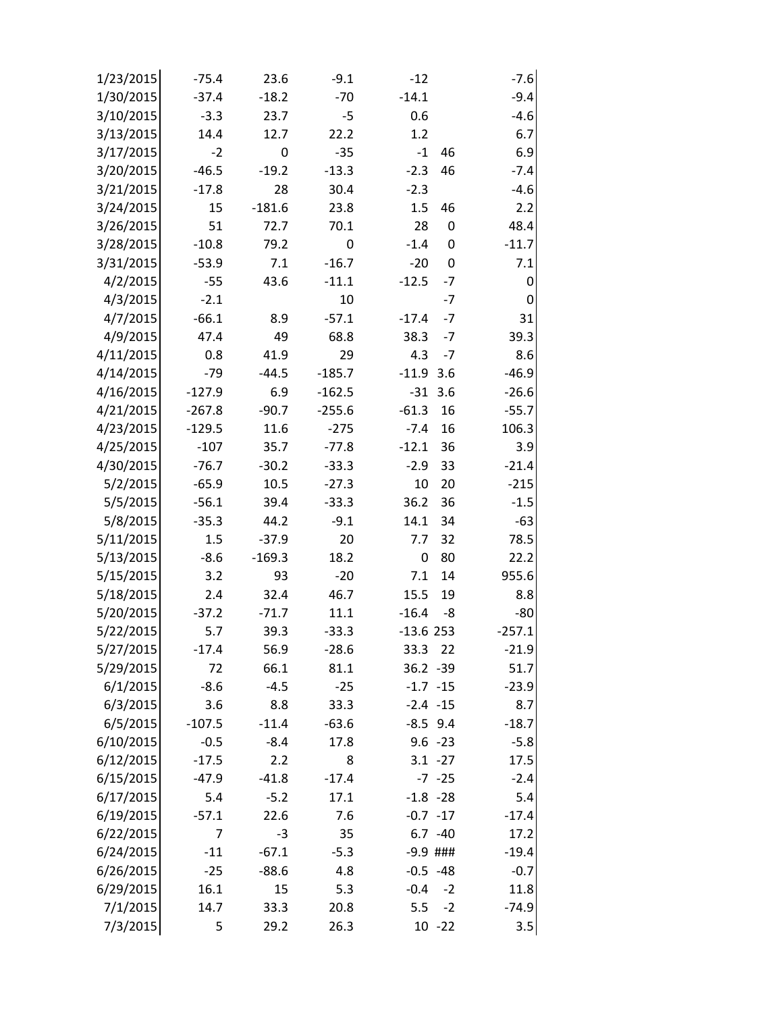| 1/23/2015 | $-75.4$  | 23.6        | $-9.1$      | $-12$         |             | $-7.6$      |
|-----------|----------|-------------|-------------|---------------|-------------|-------------|
| 1/30/2015 | $-37.4$  | $-18.2$     | $-70$       | $-14.1$       |             | $-9.4$      |
| 3/10/2015 | $-3.3$   | 23.7        | $-5$        | 0.6           |             | $-4.6$      |
| 3/13/2015 | 14.4     | 12.7        | 22.2        | 1.2           |             | 6.7         |
| 3/17/2015 | $-2$     | $\mathbf 0$ | $-35$       | $\textbf{-1}$ | 46          | 6.9         |
| 3/20/2015 | $-46.5$  | $-19.2$     | $-13.3$     | $-2.3$        | 46          | $-7.4$      |
| 3/21/2015 | $-17.8$  | 28          | 30.4        | $-2.3$        |             | $-4.6$      |
| 3/24/2015 | 15       | $-181.6$    | 23.8        | 1.5           | 46          | 2.2         |
| 3/26/2015 | 51       | 72.7        | 70.1        | 28            | $\mathbf 0$ | 48.4        |
| 3/28/2015 | $-10.8$  | 79.2        | $\mathbf 0$ | $-1.4$        | $\mathbf 0$ | $-11.7$     |
| 3/31/2015 | $-53.9$  | 7.1         | $-16.7$     | $-20$         | $\mathbf 0$ | 7.1         |
| 4/2/2015  | $-55$    | 43.6        | $-11.1$     | $-12.5$       | $-7$        | $\mathbf 0$ |
| 4/3/2015  | $-2.1$   |             | 10          |               | $-7$        | $\mathbf 0$ |
| 4/7/2015  | $-66.1$  | 8.9         | $-57.1$     | $-17.4$       | $-7$        | 31          |
| 4/9/2015  | 47.4     | 49          | 68.8        | 38.3          | $-7$        | 39.3        |
| 4/11/2015 | 0.8      | 41.9        | 29          | 4.3           | $-7$        | 8.6         |
| 4/14/2015 | $-79$    | $-44.5$     | $-185.7$    | $-11.9$       | 3.6         | $-46.9$     |
| 4/16/2015 | $-127.9$ | 6.9         | $-162.5$    | $-31$         | 3.6         | $-26.6$     |
| 4/21/2015 | $-267.8$ | $-90.7$     | $-255.6$    | $-61.3$       | 16          | $-55.7$     |
| 4/23/2015 | $-129.5$ | 11.6        | $-275$      | $-7.4$        | 16          | 106.3       |
| 4/25/2015 | $-107$   | 35.7        | $-77.8$     | $-12.1$       | 36          | 3.9         |
| 4/30/2015 | $-76.7$  | $-30.2$     | $-33.3$     | $-2.9$        | 33          | $-21.4$     |
| 5/2/2015  | $-65.9$  | 10.5        | $-27.3$     | 10            | 20          | $-215$      |
| 5/5/2015  | $-56.1$  | 39.4        | $-33.3$     | 36.2          | 36          | $-1.5$      |
| 5/8/2015  | $-35.3$  | 44.2        | $-9.1$      | 14.1          | 34          | $-63$       |
| 5/11/2015 | 1.5      | $-37.9$     | 20          | 7.7           | 32          | 78.5        |
| 5/13/2015 | $-8.6$   | $-169.3$    | 18.2        | 0             | 80          | 22.2        |
| 5/15/2015 | 3.2      | 93          | $-20$       | 7.1           | 14          | 955.6       |
| 5/18/2015 | 2.4      | 32.4        | 46.7        | 15.5          | 19          | 8.8         |
| 5/20/2015 | $-37.2$  | $-71.7$     | 11.1        | $-16.4$       | -8          | $-80$       |
| 5/22/2015 | 5.7      | 39.3        | $-33.3$     | $-13.6253$    |             | $-257.1$    |
| 5/27/2015 | $-17.4$  | 56.9        | $-28.6$     | 33.3          | 22          | $-21.9$     |
| 5/29/2015 | 72       | 66.1        | 81.1        | 36.2 - 39     |             | 51.7        |
| 6/1/2015  | $-8.6$   | $-4.5$      | $-25$       | $-1.7 -15$    |             | $-23.9$     |
| 6/3/2015  | 3.6      | 8.8         | 33.3        | $-2.4 - 15$   |             | 8.7         |
| 6/5/2015  | $-107.5$ | $-11.4$     | $-63.6$     | $-8.5$ 9.4    |             | $-18.7$     |
| 6/10/2015 | $-0.5$   | $-8.4$      | 17.8        |               | $9.6 - 23$  | $-5.8$      |
| 6/12/2015 | $-17.5$  | 2.2         | 8           |               | $3.1 - 27$  | 17.5        |
| 6/15/2015 | $-47.9$  | $-41.8$     | $-17.4$     |               | $-7 - 25$   | $-2.4$      |
| 6/17/2015 | 5.4      | $-5.2$      | 17.1        | $-1.8 - 28$   |             | 5.4         |
| 6/19/2015 | $-57.1$  | 22.6        | 7.6         | $-0.7 -17$    |             | $-17.4$     |
| 6/22/2015 | 7        | $-3$        | 35          |               | $6.7 - 40$  | 17.2        |
| 6/24/2015 | $-11$    | $-67.1$     | $-5.3$      | $-9.9$ ###    |             | $-19.4$     |
| 6/26/2015 | $-25$    | $-88.6$     | 4.8         | $-0.5 -48$    |             | $-0.7$      |
| 6/29/2015 | 16.1     | 15          | 5.3         | $-0.4$        | $-2$        | 11.8        |
| 7/1/2015  | 14.7     | 33.3        | 20.8        | 5.5           | $-2$        | $-74.9$     |
| 7/3/2015  | 5        | 29.2        | 26.3        |               | $10 - 22$   | 3.5         |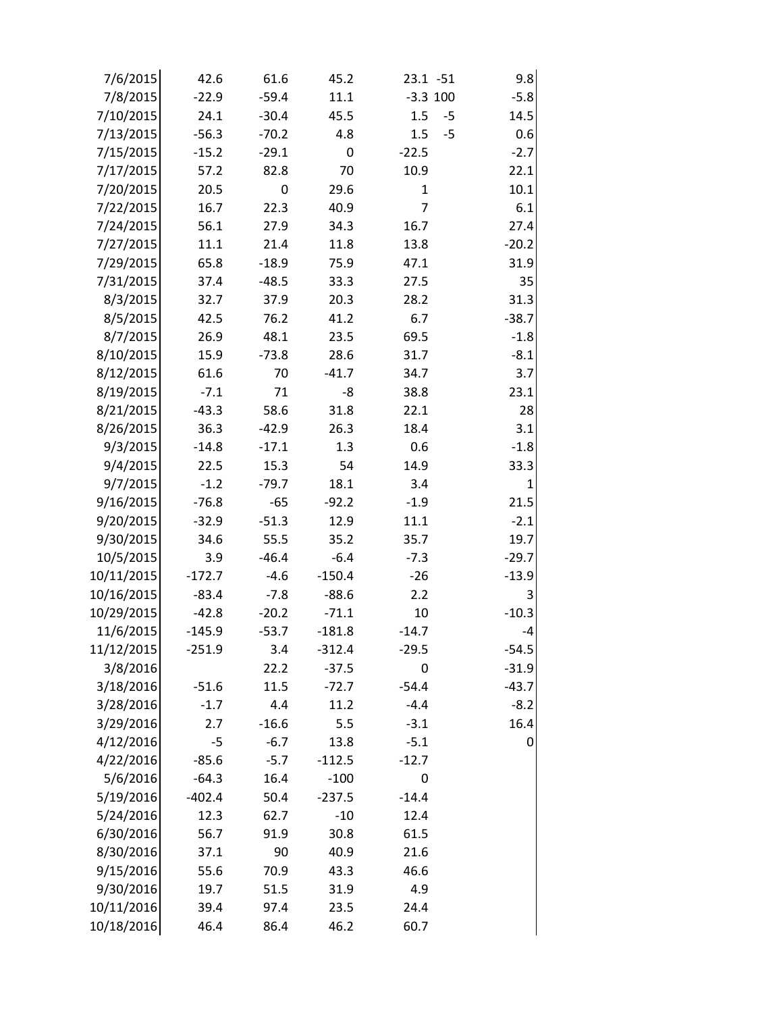| 7/6/2015   | 42.6     | 61.6    | 45.2     | $23.1 - 51$ | 9.8          |
|------------|----------|---------|----------|-------------|--------------|
| 7/8/2015   | $-22.9$  | $-59.4$ | 11.1     | $-3.3$ 100  | $-5.8$       |
| 7/10/2015  | 24.1     | $-30.4$ | 45.5     | 1.5         | 14.5<br>$-5$ |
| 7/13/2015  | $-56.3$  | $-70.2$ | 4.8      | 1.5         | $-5$<br>0.6  |
| 7/15/2015  | $-15.2$  | $-29.1$ | 0        | $-22.5$     | $-2.7$       |
| 7/17/2015  | 57.2     | 82.8    | 70       | 10.9        | 22.1         |
| 7/20/2015  | 20.5     | 0       | 29.6     | 1           | 10.1         |
| 7/22/2015  | 16.7     | 22.3    | 40.9     | 7           | 6.1          |
| 7/24/2015  | 56.1     | 27.9    | 34.3     | 16.7        | 27.4         |
| 7/27/2015  | 11.1     | 21.4    | 11.8     | 13.8        | $-20.2$      |
| 7/29/2015  | 65.8     | $-18.9$ | 75.9     | 47.1        | 31.9         |
| 7/31/2015  | 37.4     | $-48.5$ | 33.3     | 27.5        | 35           |
| 8/3/2015   | 32.7     | 37.9    | 20.3     | 28.2        | 31.3         |
| 8/5/2015   | 42.5     | 76.2    | 41.2     | 6.7         | $-38.7$      |
| 8/7/2015   | 26.9     | 48.1    | 23.5     | 69.5        | $-1.8$       |
| 8/10/2015  | 15.9     | $-73.8$ | 28.6     | 31.7        | $-8.1$       |
| 8/12/2015  | 61.6     | 70      | $-41.7$  | 34.7        | 3.7          |
| 8/19/2015  | $-7.1$   | 71      | -8       | 38.8        | 23.1         |
| 8/21/2015  | $-43.3$  | 58.6    | 31.8     | 22.1        | 28           |
| 8/26/2015  | 36.3     | $-42.9$ | 26.3     | 18.4        | 3.1          |
| 9/3/2015   | $-14.8$  | $-17.1$ | 1.3      | 0.6         | $-1.8$       |
| 9/4/2015   | 22.5     | 15.3    | 54       | 14.9        | 33.3         |
| 9/7/2015   | $-1.2$   | $-79.7$ | 18.1     | 3.4         | $\mathbf{1}$ |
| 9/16/2015  | $-76.8$  | $-65$   | $-92.2$  | $-1.9$      | 21.5         |
| 9/20/2015  | $-32.9$  | $-51.3$ | 12.9     | 11.1        | $-2.1$       |
| 9/30/2015  | 34.6     | 55.5    | 35.2     | 35.7        | 19.7         |
| 10/5/2015  | 3.9      | $-46.4$ | $-6.4$   | $-7.3$      | $-29.7$      |
| 10/11/2015 | $-172.7$ | $-4.6$  | $-150.4$ | $-26$       | $-13.9$      |
| 10/16/2015 | $-83.4$  | $-7.8$  | $-88.6$  | 2.2         | 3            |
| 10/29/2015 | $-42.8$  | $-20.2$ | $-71.1$  | 10          | $-10.3$      |
| 11/6/2015  | $-145.9$ | $-53.7$ | $-181.8$ | $-14.7$     | $-4$         |
| 11/12/2015 | $-251.9$ | 3.4     | $-312.4$ | $-29.5$     | $-54.5$      |
| 3/8/2016   |          | 22.2    | $-37.5$  | 0           | $-31.9$      |
| 3/18/2016  | $-51.6$  | 11.5    | $-72.7$  | $-54.4$     | $-43.7$      |
| 3/28/2016  | $-1.7$   | 4.4     | 11.2     | $-4.4$      | $-8.2$       |
| 3/29/2016  | 2.7      | $-16.6$ | 5.5      | $-3.1$      | 16.4         |
| 4/12/2016  | $-5$     | $-6.7$  | 13.8     | $-5.1$      | 0            |
| 4/22/2016  | $-85.6$  | $-5.7$  | $-112.5$ | $-12.7$     |              |
| 5/6/2016   | $-64.3$  | 16.4    | $-100$   | 0           |              |
| 5/19/2016  | $-402.4$ | 50.4    | $-237.5$ | $-14.4$     |              |
| 5/24/2016  | 12.3     | 62.7    | $-10$    | 12.4        |              |
| 6/30/2016  | 56.7     | 91.9    | 30.8     | 61.5        |              |
| 8/30/2016  | 37.1     | 90      | 40.9     | 21.6        |              |
| 9/15/2016  | 55.6     | 70.9    | 43.3     | 46.6        |              |
| 9/30/2016  | 19.7     | 51.5    | 31.9     | 4.9         |              |
| 10/11/2016 | 39.4     | 97.4    | 23.5     | 24.4        |              |
| 10/18/2016 | 46.4     | 86.4    | 46.2     | 60.7        |              |